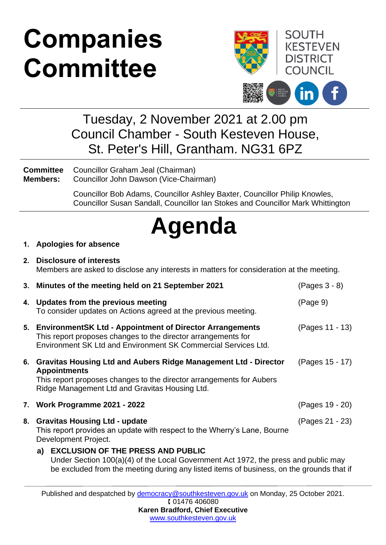# **Companies Committee**



### Tuesday, 2 November 2021 at 2.00 pm Council Chamber - South Kesteven House, St. Peter's Hill, Grantham. NG31 6PZ

**Committee Members:** Councillor Graham Jeal (Chairman) Councillor John Dawson (Vice-Chairman)

> Councillor Bob Adams, Councillor Ashley Baxter, Councillor Philip Knowles, Councillor Susan Sandall, Councillor Ian Stokes and Councillor Mark Whittington

## **Agenda**

#### **1. Apologies for absence**

**2. Disclosure of interests** Members are asked to disclose any interests in matters for consideration at the meeting.

|    | 3. Minutes of the meeting held on 21 September 2021                                                                                                                                                                 | (Pages 3 - 8)                                                                                                                                                                  |  |
|----|---------------------------------------------------------------------------------------------------------------------------------------------------------------------------------------------------------------------|--------------------------------------------------------------------------------------------------------------------------------------------------------------------------------|--|
|    | 4. Updates from the previous meeting<br>To consider updates on Actions agreed at the previous meeting.                                                                                                              | (Page 9)                                                                                                                                                                       |  |
|    | 5. Environment SK Ltd - Appointment of Director Arrangements<br>This report proposes changes to the director arrangements for<br>Environment SK Ltd and Environment SK Commercial Services Ltd.                     | (Pages 11 - 13)                                                                                                                                                                |  |
|    | 6. Gravitas Housing Ltd and Aubers Ridge Management Ltd - Director<br><b>Appointments</b><br>This report proposes changes to the director arrangements for Aubers<br>Ridge Management Ltd and Gravitas Housing Ltd. | (Pages 15 - 17)                                                                                                                                                                |  |
|    | 7. Work Programme 2021 - 2022                                                                                                                                                                                       | (Pages 19 - 20)                                                                                                                                                                |  |
| 8. | <b>Gravitas Housing Ltd - update</b><br>This report provides an update with respect to the Wherry's Lane, Bourne<br>Development Project.                                                                            | (Pages 21 - 23)                                                                                                                                                                |  |
|    | a) EXCLUSION OF THE PRESS AND PUBLIC                                                                                                                                                                                | Under Section 100(a)(4) of the Local Government Act 1972, the press and public may<br>be excluded from the meeting during any listed items of business, on the grounds that if |  |

Published and despatched by [democracy@southkesteven.gov.uk](mailto:democracy@southkesteven.gov.uk) on Monday, 25 October 2021. 01476 406080 **Karen Bradford, Chief Executive**

[www.southkesteven.gov.uk](http://www.southkesteven.gov.uk/)